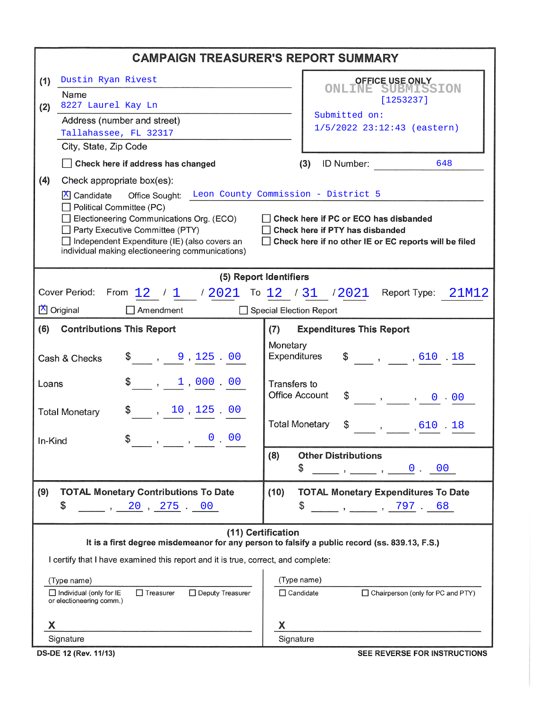| <b>CAMPAIGN TREASURER'S REPORT SUMMARY</b>                                                                          |                                                                        |  |  |  |  |  |  |
|---------------------------------------------------------------------------------------------------------------------|------------------------------------------------------------------------|--|--|--|--|--|--|
| Dustin Ryan Rivest<br>(1)                                                                                           | <b>OFFICE USE ONLY</b>                                                 |  |  |  |  |  |  |
| Name                                                                                                                | <b>ONLINE SUBMISSION</b><br>[1253237]                                  |  |  |  |  |  |  |
| 8227 Laurel Kay Ln<br>(2)<br>Address (number and street)                                                            | Submitted on:                                                          |  |  |  |  |  |  |
| Tallahassee, FL 32317                                                                                               | $1/5/2022$ 23:12:43 (eastern)                                          |  |  |  |  |  |  |
| City, State, Zip Code                                                                                               |                                                                        |  |  |  |  |  |  |
| Check here if address has changed                                                                                   | ID Number:<br>648<br>(3)                                               |  |  |  |  |  |  |
| (4)<br>Check appropriate box(es):                                                                                   |                                                                        |  |  |  |  |  |  |
| Office Sought: Leon County Commission - District 5<br>$X$ Candidate                                                 |                                                                        |  |  |  |  |  |  |
| Political Committee (PC)<br>Electioneering Communications Org. (ECO)                                                | Check here if PC or ECO has disbanded                                  |  |  |  |  |  |  |
| Party Executive Committee (PTY)                                                                                     | Check here if PTY has disbanded                                        |  |  |  |  |  |  |
| Independent Expenditure (IE) (also covers an<br>individual making electioneering communications)                    | Check here if no other IE or EC reports will be filed                  |  |  |  |  |  |  |
|                                                                                                                     |                                                                        |  |  |  |  |  |  |
| (5) Report Identifiers                                                                                              |                                                                        |  |  |  |  |  |  |
| Cover Period:<br>From $12$ / 1 / 2021 To 12 / 31 / 2021                                                             | Report Type: 21M12                                                     |  |  |  |  |  |  |
| X Original<br>Amendment                                                                                             | Special Election Report                                                |  |  |  |  |  |  |
| (6)<br><b>Contributions This Report</b><br><b>Expenditures This Report</b><br>(7)                                   |                                                                        |  |  |  |  |  |  |
|                                                                                                                     | Monetary<br>Expenditures                                               |  |  |  |  |  |  |
| $\frac{1}{2}$ , 9, 125, 00<br>Cash & Checks                                                                         | $\$\qquad, \qquad, 610.18$                                             |  |  |  |  |  |  |
| $\frac{1}{2}$ , 1,000.00<br>Loans                                                                                   | Transfers to                                                           |  |  |  |  |  |  |
|                                                                                                                     | <b>Office Account</b><br>$\frac{1}{2}$ , , 0 00                        |  |  |  |  |  |  |
| $\frac{10}{125}$ 00<br><b>Total Monetary</b>                                                                        | <b>Total Monetary</b>                                                  |  |  |  |  |  |  |
| $\frac{1}{2}$ , , 0 00                                                                                              | $\$\qquad, \qquad, 610.18$                                             |  |  |  |  |  |  |
| In-Kind                                                                                                             | <b>Other Distributions</b><br>(8)                                      |  |  |  |  |  |  |
|                                                                                                                     | \$<br>$\qquad \qquad , \qquad \qquad 0 \qquad 00$                      |  |  |  |  |  |  |
| (9)<br><b>TOTAL Monetary Contributions To Date</b>                                                                  | (10)<br><b>TOTAL Monetary Expenditures To Date</b>                     |  |  |  |  |  |  |
| \$<br>$\sim$ , 20 , 275 $\sim$ 00                                                                                   | \$                                                                     |  |  |  |  |  |  |
|                                                                                                                     |                                                                        |  |  |  |  |  |  |
| (11) Certification<br>It is a first degree misdemeanor for any person to falsify a public record (ss. 839.13, F.S.) |                                                                        |  |  |  |  |  |  |
| I certify that I have examined this report and it is true, correct, and complete:                                   |                                                                        |  |  |  |  |  |  |
|                                                                                                                     |                                                                        |  |  |  |  |  |  |
| (Type name)<br>$\Box$ Individual (only for IE<br>$\Box$ Treasurer<br>□ Deputy Treasurer                             | (Type name)<br>$\Box$ Candidate<br>□ Chairperson (only for PC and PTY) |  |  |  |  |  |  |
| or electioneering comm.)                                                                                            |                                                                        |  |  |  |  |  |  |
| X                                                                                                                   | X                                                                      |  |  |  |  |  |  |
| Signature                                                                                                           | Signature                                                              |  |  |  |  |  |  |

DS-DE 12 (Rev. 11/13)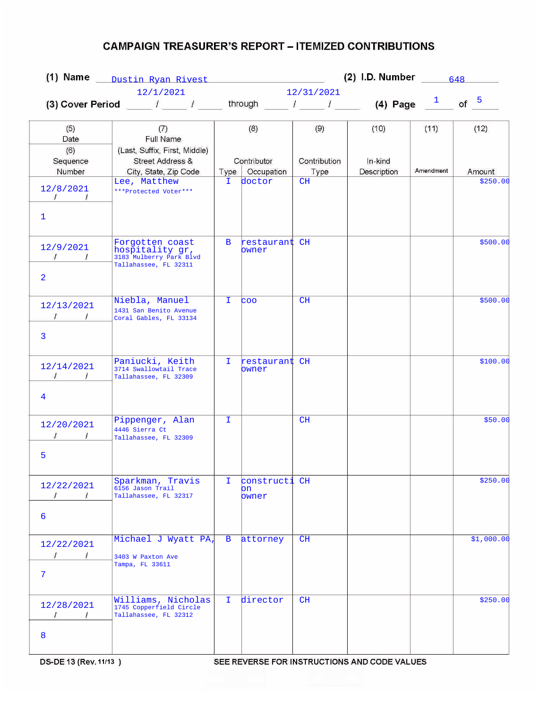|                                                          |                                                                                        | $(2)$ I.D. Number<br>(1) Name Dustin Ryan Rivest<br>648 |                               |                      |                        |              |            |
|----------------------------------------------------------|----------------------------------------------------------------------------------------|---------------------------------------------------------|-------------------------------|----------------------|------------------------|--------------|------------|
|                                                          | 12/1/2021                                                                              |                                                         |                               | 12/31/2021           |                        |              |            |
|                                                          | (3) Cover Period $\begin{array}{ccc} & & & \end{array}$                                |                                                         |                               | through $l = l$      |                        | (4) Page $1$ | of $5$     |
| (5)<br>Date                                              | (7)<br>Full Name                                                                       |                                                         | (8)                           | (9)                  | (10)                   | (11)         | (12)       |
| (6)<br>Sequence<br>Number                                | (Last, Suffix, First, Middle)<br>Street Address &<br>City, State, Zip Code             | Type                                                    | Contributor<br>Occupation     | Contribution<br>Type | In-kind<br>Description | Amendment    | Amount     |
| 12/8/2021<br>$\sqrt{2}$<br>$\frac{1}{2}$<br>$\mathbf{1}$ | Lee, Matthew<br>***Protected Voter***                                                  | I.                                                      | doctor                        | CH                   |                        |              | \$250.00   |
| 12/9/2021<br>$\sqrt{1}$<br>$\overline{a}$                | Forgotten coast<br>hospitality gr,<br>3183 Mulberry Park Blvd<br>Tallahassee, FL 32311 | B                                                       | restaurant CH<br>bwner        |                      |                        |              | \$500.00   |
| 12/13/2021<br>$1 \quad 1$<br>3                           | Niebla, Manuel<br>1431 San Benito Avenue<br>Coral Gables, FL 33134                     | T.                                                      | <b>COO</b>                    | CH                   |                        |              | \$500.00   |
| 12/14/2021<br>$\frac{1}{\sqrt{2}}$<br>4                  | Paniucki, Keith<br>3714 Swallowtail Trace<br>Tallahassee, FL 32309                     | I.                                                      | restaurant CH<br>bwner        |                      |                        |              | \$100.00   |
| 12/20/2021<br>5                                          | Pippenger, Alan<br>4446 Sierra Ct<br>Tallahassee, FL 32309                             | T.                                                      |                               | CH                   |                        |              | \$50.00    |
| 12/22/2021<br>6                                          | Sparkman, Travis<br>6156 Jason Trail<br>Tallahassee, FL 32317                          | I.                                                      | constructi CH<br>on.<br>owner |                      |                        |              | \$250.00   |
| 12/22/2021<br>$\overline{1}$<br>$\prime$<br>7            | Michael J Wyatt PA<br>3403 W Paxton Ave<br>Tampa, FL 33611                             | $\mathbf{B}$                                            | attorney                      | CH                   |                        |              | \$1,000.00 |
| 12/28/2021<br>$\prime$<br>8                              | Williams, Nicholas<br>1745 Copperfield Circle<br>Tallahassee, FL 32312                 | Ι.                                                      | director                      | CH                   |                        |              | \$250.00   |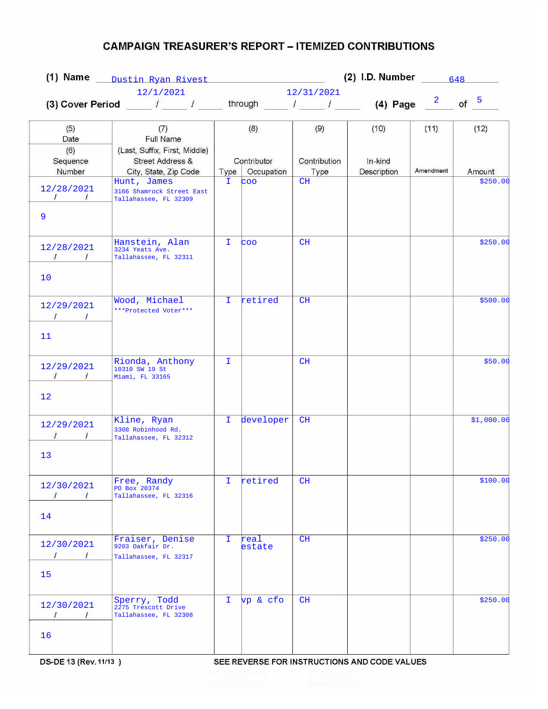| (1) Name Dustin Ryan Rivest                                |                                                                                                                            |              | (2) I.D. Number $\frac{648}{\sqrt{2}}$ |              |             |           |            |  |  |
|------------------------------------------------------------|----------------------------------------------------------------------------------------------------------------------------|--------------|----------------------------------------|--------------|-------------|-----------|------------|--|--|
|                                                            | 12/1/2021                                                                                                                  |              |                                        |              | 12/31/2021  |           |            |  |  |
|                                                            | (3) Cover Period _____ / _____ / _____ through _____ / _____ / _____ (4) Page $\frac{2}{\sqrt{5}}$ of $\frac{5}{\sqrt{5}}$ |              |                                        |              |             |           |            |  |  |
| (5)<br>Date<br>(6)                                         | (7)<br>Full Name<br>(Last, Suffix, First, Middle)                                                                          |              | (8)                                    | (9)          | (10)        | (11)      | (12)       |  |  |
| Sequence                                                   | Street Address &                                                                                                           |              | Contributor                            | Contribution | In-kind     |           |            |  |  |
| Number                                                     | City, State, Zip Code                                                                                                      | Type         | Occupation                             | Type         | Description | Amendment | Amount     |  |  |
| 12/28/2021<br>$\frac{1}{2}$ $\frac{1}{2}$<br>9             | Hunt, James<br>3166 Shamrock Street East<br>Tallahassee, FL 32309                                                          | I.           | coo                                    | CH           |             |           | \$250.00   |  |  |
| 12/28/2021<br>$\sqrt{1}$<br>10                             | Hanstein, Alan<br>3234 Yeats Ave.<br>Tallahassee, FL 32311                                                                 | Ι.           | coo                                    | CH           |             |           | \$250.00   |  |  |
| 12/29/2021<br>11                                           | Wood, Michael<br>***Protected Voter***                                                                                     | $\mathbf{I}$ | retired                                | CH           |             |           | \$500.00   |  |  |
| 12/29/2021<br>$\mathcal{L}$<br>$\overline{1}$<br>12        | Rionda, Anthony<br>10310 SW 19 St<br>Miami, FL 33165                                                                       | T.           |                                        | CH           |             |           | \$50.00    |  |  |
| 12/29/2021<br>13                                           | Kline, Ryan<br>3308 Robinhood Rd.<br>Tallahassee, FL 32312                                                                 | T.           | developer                              | CH           |             |           | \$1,000.00 |  |  |
| 12/30/2021<br>T<br>$\prime$<br>14                          | Free, Randy<br>PO Box 20374<br>Tallahassee, FL 32316                                                                       | I.           | retired                                | CH           |             |           | \$100.00   |  |  |
| 12/30/2021<br>$\prime$<br>$\overline{1}$<br>15             | Fraiser, Denise<br>9203 Oakfair Dr.<br>Tallahassee, FL 32317                                                               | I.           | real<br>estate                         | CH           |             |           | \$250.00   |  |  |
| 12/30/2021<br>$\overline{L}$<br>$\sim$ $\sim$ $\sim$<br>16 | Sperry, Todd<br>2275 Trescott Drive<br>Tallahassee, FL 32308                                                               | I.           | vp & cfo                               | CH           |             |           | \$250.00   |  |  |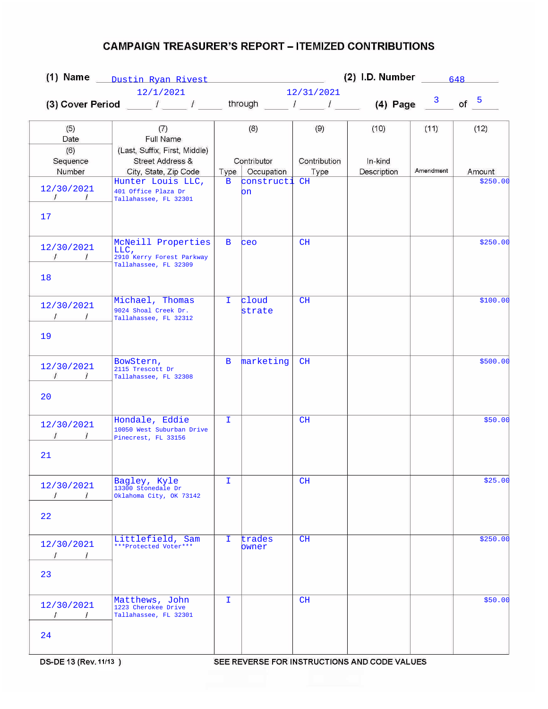|                                                |                                                                                                                  | (2) I.D. Number $\frac{648}{2}$<br>(1) Name Dustin Ryan Rivest |                          |              |              |           |                    |  |
|------------------------------------------------|------------------------------------------------------------------------------------------------------------------|----------------------------------------------------------------|--------------------------|--------------|--------------|-----------|--------------------|--|
| 12/1/2021                                      |                                                                                                                  |                                                                | 12/31/2021               |              |              |           |                    |  |
|                                                | (3) Cover Period $\begin{array}{cccc} I & I & I \end{array}$ through $\begin{array}{cccc} I & I & I \end{array}$ |                                                                |                          |              | (4) Page $3$ |           | of $5$             |  |
| (5)<br>Date                                    | (7)<br>Full Name                                                                                                 |                                                                | (8)                      | (9)          | (10)         | (11)      | (12)               |  |
| (6)<br>Sequence                                | (Last, Suffix, First, Middle)<br><b>Street Address &amp;</b>                                                     |                                                                | Contributor              | Contribution | In-kind      | Amendment |                    |  |
| Number                                         | City, State, Zip Code<br>Hunter Louis LLC,                                                                       | Type<br>$\mathbf{B}$                                           | Occupation<br>constructi | Type<br>CH   | Description  |           | Amount<br>\$250.00 |  |
| 12/30/2021<br>$\frac{1}{2}$<br>17              | 401 Office Plaza Dr<br>Tallahassee, FL 32301                                                                     |                                                                | on                       |              |              |           |                    |  |
| 12/30/2021<br>$\sqrt{1}$<br>18                 | McNeill Properties<br>LLC,<br>2910 Kerry Forest Parkway<br>Tallahassee, FL 32309                                 | B                                                              | ceo                      | CH           |              |           | \$250.00           |  |
| 12/30/2021<br>$\sqrt{1}$                       | Michael, Thomas<br>9024 Shoal Creek Dr.<br>Tallahassee, FL 32312                                                 | I.                                                             | cloud<br>strate          | CH           |              |           | \$100.00           |  |
| 19<br>12/30/2021<br>$\frac{1}{\sqrt{2}}$<br>20 | BowStern,<br>2115 Trescott Dr<br>Tallahassee, FL 32308                                                           | $\mathbf{B}$                                                   | marketing                | CH           |              |           | \$500.00           |  |
| 12/30/2021<br>21                               | Hondale, Eddie<br>10050 West Suburban Drive<br>Pinecrest, FL 33156                                               | T.                                                             |                          | CH           |              |           | \$50.00            |  |
| 12/30/2021<br>$\prime$<br>$\prime$<br>22       | Bagley, Kyle<br>13300 Stonedale Dr<br>Oklahoma City, OK 73142                                                    | I.                                                             |                          | CH           |              |           | \$25.00            |  |
| 12/30/2021<br>$\prime$<br>$\sqrt{1}$<br>23     | Littlefield, Sam<br>***Protected Voter***                                                                        | I.                                                             | trades<br>owner          | CH           |              |           | \$250.00           |  |
| 12/30/2021<br>$\prime$<br>$\prime$<br>24       | Matthews, John<br>1223 Cherokee Drive<br>Tallahassee, FL 32301                                                   | I.                                                             |                          | CH           |              |           | \$50.00            |  |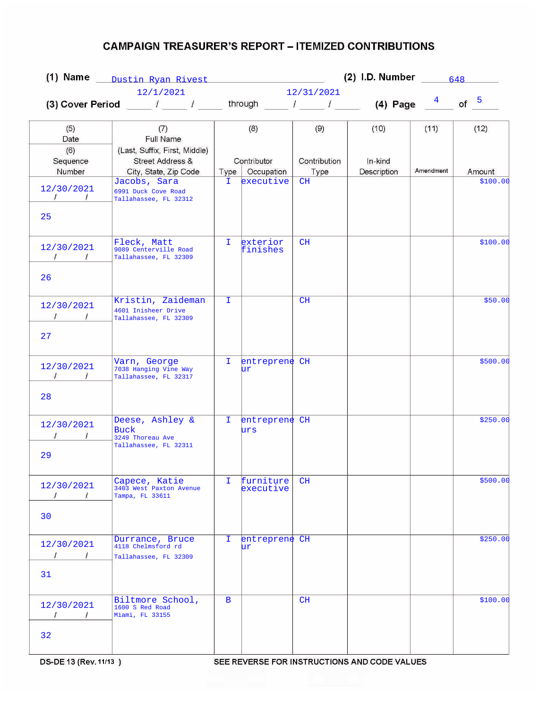|                                                    |                                                                                       | (2) I.D. Number $\frac{648}{2}$<br>(1) Name Dustin Ryan Rivest |                           |              |             |           |                    |  |  |
|----------------------------------------------------|---------------------------------------------------------------------------------------|----------------------------------------------------------------|---------------------------|--------------|-------------|-----------|--------------------|--|--|
|                                                    | 12/1/2021                                                                             |                                                                |                           | 12/31/2021   |             |           |                    |  |  |
|                                                    |                                                                                       |                                                                |                           |              |             |           | of $5$             |  |  |
| (5)<br>Date                                        | (7)<br>Full Name                                                                      |                                                                | (8)                       | (9)          | (10)        | (11)      | (12)               |  |  |
| (6)<br>Sequence                                    | (Last, Suffix, First, Middle)<br>Street Address &                                     |                                                                | Contributor<br>Occupation | Contribution | In-kind     | Amendment |                    |  |  |
| Number<br>12/30/2021<br>$\frac{1}{\sqrt{2}}$<br>25 | City, State, Zip Code<br>Jacobs, Sara<br>6991 Duck Cove Road<br>Tallahassee, FL 32312 | Type<br>I.                                                     | executive                 | Type<br>CH   | Description |           | Amount<br>\$100.00 |  |  |
| 12/30/2021<br>$\sqrt{1}$<br>26                     | Fleck, Matt<br>9089 Centerville Road<br>Tallahassee, FL 32309                         | T.                                                             | exterior<br>finishes      | CH           |             |           | \$100.00           |  |  |
| 12/30/2021<br>$\prime$<br>27                       | Kristin, Zaideman<br>4601 Inisheer Drive<br>Tallahassee, FL 32309                     | $\mathbf{I}$                                                   |                           | CH           |             |           | \$50.00            |  |  |
| 12/30/2021<br>$\sqrt{1}$<br>28                     | Varn, George<br>7038 Hanging Vine Way<br>Tallahassee, FL 32317                        | I.                                                             | entreprene CH<br>ur       |              |             |           | \$500.00           |  |  |
| 12/30/2021<br>29                                   | Deese, Ashley &<br><b>Buck</b><br>3249 Thoreau Ave<br>Tallahassee, FL 32311           | T.                                                             | entreprene CH<br>urs      |              |             |           | \$250.00           |  |  |
| 12/30/2021<br>$\overline{I}$<br>$\pm$<br>30        | Capece, Katie<br>3403 West Paxton Avenue<br>Tampa, FL 33611                           | I.                                                             | furniture<br>executive    | CH           |             |           | \$500.00           |  |  |
| 12/30/2021<br>$\frac{1}{\sqrt{2}}$<br>31           | Durrance, Bruce<br>4118 Chelmsford rd<br>Tallahassee, FL 32309                        | I.                                                             | entreprene CH<br>ur.      |              |             |           | \$250.00           |  |  |
| 12/30/2021<br>$\prime$<br>$\overline{1}$<br>32     | Biltmore School,<br>1600 S Red Road<br>Miami, FL 33155                                | B                                                              |                           | CH           |             |           | \$100.00           |  |  |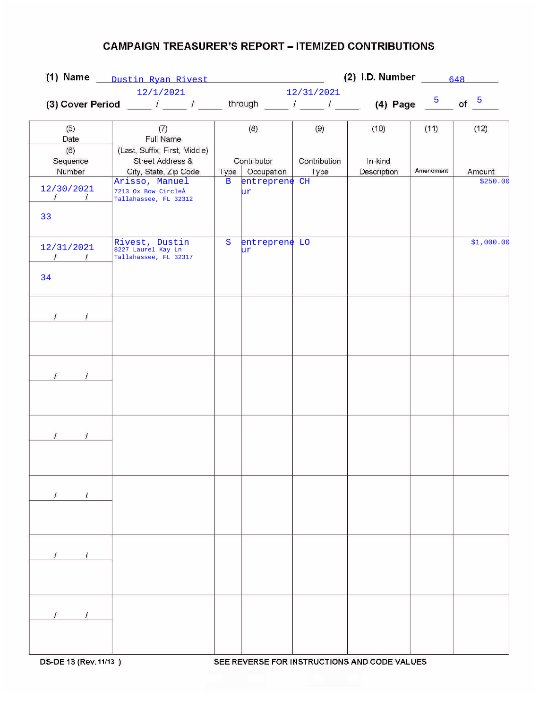|                                | (1) Name Dustin Ryan Rivest                                                                 |              |                   |              | (2) I.D. Number $\frac{648}{2}$ |           |            |
|--------------------------------|---------------------------------------------------------------------------------------------|--------------|-------------------|--------------|---------------------------------|-----------|------------|
|                                | 12/1/2021                                                                                   |              |                   | 12/31/2021   |                                 |           |            |
|                                | (3) Cover Period _____ / _____ / _____ through _____ / _____ / _____ (4) Page $\frac{5}{2}$ |              |                   |              |                                 |           | of $5$     |
|                                |                                                                                             |              |                   |              |                                 |           |            |
| (5)                            | (7)                                                                                         |              | (8)               | (9)          | (10)                            | (11)      | (12)       |
| Date                           | Full Name                                                                                   |              |                   |              |                                 |           |            |
| (6)                            | (Last, Suffix, First, Middle)<br>Street Address &                                           |              | Contributor       | Contribution | In-kind                         |           |            |
| Sequence<br>Number             | City, State, Zip Code                                                                       |              | Type   Occupation | Type         | Description                     | Amendment | Amount     |
|                                | Arisso, Manuel                                                                              | $\mathbf{B}$ | entreprene CH     |              |                                 |           | \$250.00   |
| 12/30/2021                     | 7213 Ox Bow CircleÂ                                                                         |              | ur                |              |                                 |           |            |
| $\frac{1}{2}$ $\frac{1}{2}$    | Tallahassee, FL 32312                                                                       |              |                   |              |                                 |           |            |
| 33                             |                                                                                             |              |                   |              |                                 |           |            |
|                                |                                                                                             |              |                   |              |                                 |           |            |
|                                | Rivest, Dustin                                                                              | $\mathbf S$  | entreprene LO     |              |                                 |           | \$1,000.00 |
| 12/31/2021                     | 8227 Laurel Kay Ln                                                                          |              | ur                |              |                                 |           |            |
| $\sqrt{1}$                     | Tallahassee, FL 32317                                                                       |              |                   |              |                                 |           |            |
| 34                             |                                                                                             |              |                   |              |                                 |           |            |
|                                |                                                                                             |              |                   |              |                                 |           |            |
|                                |                                                                                             |              |                   |              |                                 |           |            |
|                                |                                                                                             |              |                   |              |                                 |           |            |
| $\frac{1}{\sqrt{2}}$           |                                                                                             |              |                   |              |                                 |           |            |
|                                |                                                                                             |              |                   |              |                                 |           |            |
|                                |                                                                                             |              |                   |              |                                 |           |            |
|                                |                                                                                             |              |                   |              |                                 |           |            |
|                                |                                                                                             |              |                   |              |                                 |           |            |
| $\mathcal{I}$<br>$\mathcal{I}$ |                                                                                             |              |                   |              |                                 |           |            |
|                                |                                                                                             |              |                   |              |                                 |           |            |
|                                |                                                                                             |              |                   |              |                                 |           |            |
|                                |                                                                                             |              |                   |              |                                 |           |            |
|                                |                                                                                             |              |                   |              |                                 |           |            |
| $\overline{I}$                 |                                                                                             |              |                   |              |                                 |           |            |
|                                |                                                                                             |              |                   |              |                                 |           |            |
|                                |                                                                                             |              |                   |              |                                 |           |            |
|                                |                                                                                             |              |                   |              |                                 |           |            |
|                                |                                                                                             |              |                   |              |                                 |           |            |
| $I$ $I$                        |                                                                                             |              |                   |              |                                 |           |            |
|                                |                                                                                             |              |                   |              |                                 |           |            |
|                                |                                                                                             |              |                   |              |                                 |           |            |
|                                |                                                                                             |              |                   |              |                                 |           |            |
|                                |                                                                                             |              |                   |              |                                 |           |            |
| $\sqrt{1}$                     |                                                                                             |              |                   |              |                                 |           |            |
|                                |                                                                                             |              |                   |              |                                 |           |            |
|                                |                                                                                             |              |                   |              |                                 |           |            |
|                                |                                                                                             |              |                   |              |                                 |           |            |
|                                |                                                                                             |              |                   |              |                                 |           |            |
| $\sqrt{ }$<br>$\prime$         |                                                                                             |              |                   |              |                                 |           |            |
|                                |                                                                                             |              |                   |              |                                 |           |            |
|                                |                                                                                             |              |                   |              |                                 |           |            |

SEE REVERSE FOR INSTRUCTIONS AND CODE VALUES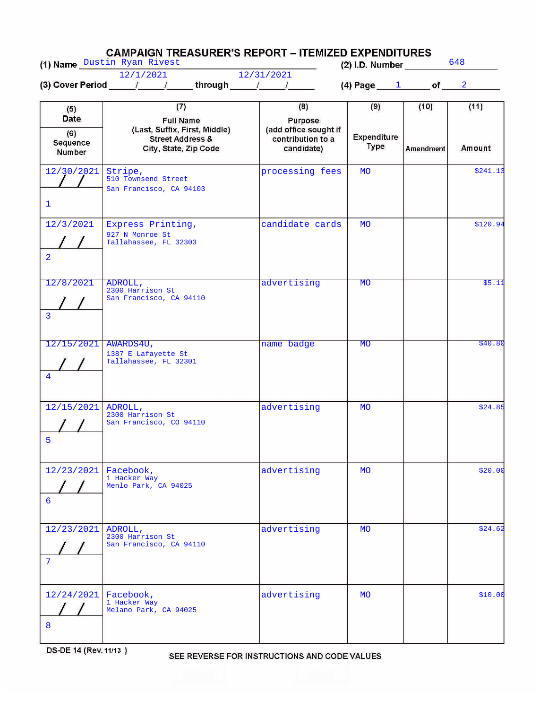|                                                 | <b>CAMPAIGN TREASURER'S REPORT – ITEMIZED EXPENDITURES</b><br>(1) Name Dustin Ryan Rivest                        |                                                                            | $(2)$ I.D. Number                 |                   | 648            |
|-------------------------------------------------|------------------------------------------------------------------------------------------------------------------|----------------------------------------------------------------------------|-----------------------------------|-------------------|----------------|
|                                                 | 12/1/2021<br>(3) Cover Period $1/$ / through $1/$                                                                | 12/31/2021                                                                 | (4) Page $1$ of $2$               |                   |                |
| (5)<br><b>Date</b><br>(6)<br>Sequence<br>Number | (7)<br><b>Full Name</b><br>(Last, Suffix, First, Middle)<br><b>Street Address &amp;</b><br>City, State, Zip Code | (8)<br>Purpose<br>(add office sought if<br>contribution to a<br>candidate) | (9)<br>Expenditure<br><b>Type</b> | (10)<br>Amendment | (11)<br>Amount |
| 12/30/2021<br>$\mathbf{1}$                      | Stripe,<br>510 Townsend Street<br>San Francisco, CA 94103                                                        | processing fees                                                            | <b>MO</b>                         |                   | \$241.13       |
| 12/3/2021<br>$\overline{2}$                     | Express Printing,<br>927 N Monroe St<br>Tallahassee, FL 32303                                                    | candidate cards                                                            | <b>MO</b>                         |                   | \$120.94       |
| 12/8/2021<br>$\overline{3}$                     | ADROLL,<br>2300 Harrison St<br>San Francisco, CA 94110                                                           | advertising                                                                | <b>MO</b>                         |                   | \$5.11         |
| 12/15/2021<br>$\overline{4}$                    | AWARDS4U,<br>1387 E Lafayette St<br>Tallahassee, FL 32301                                                        | name badge                                                                 | <b>MO</b>                         |                   | \$40.80        |
| 12/15/2021<br>5                                 | ADROLL,<br>2300 Harrison St<br>San Francisco, CO 94110                                                           | advertising                                                                | <b>MO</b>                         |                   | \$24.85        |
| 12/23/2021<br>6                                 | Facebook,<br>1 Hacker Way<br>Menlo Park, CA 94025                                                                | advertising                                                                | <b>MO</b>                         |                   | \$20.00        |
| 12/23/2021<br>7                                 | ADROLL,<br>2300 Harrison St<br>San Francisco, CA 94110                                                           | advertising                                                                | <b>MO</b>                         |                   | \$24.62        |
| 12/24/2021<br>8                                 | Facebook,<br>1 Hacker Way<br>Melano Park, CA 94025                                                               | advertising                                                                | <b>MO</b>                         |                   | \$10.00        |

DS-DE 14 (Rev. 11/13)

SEE REVERSE FOR INSTRUCTIONS AND CODE VALUES